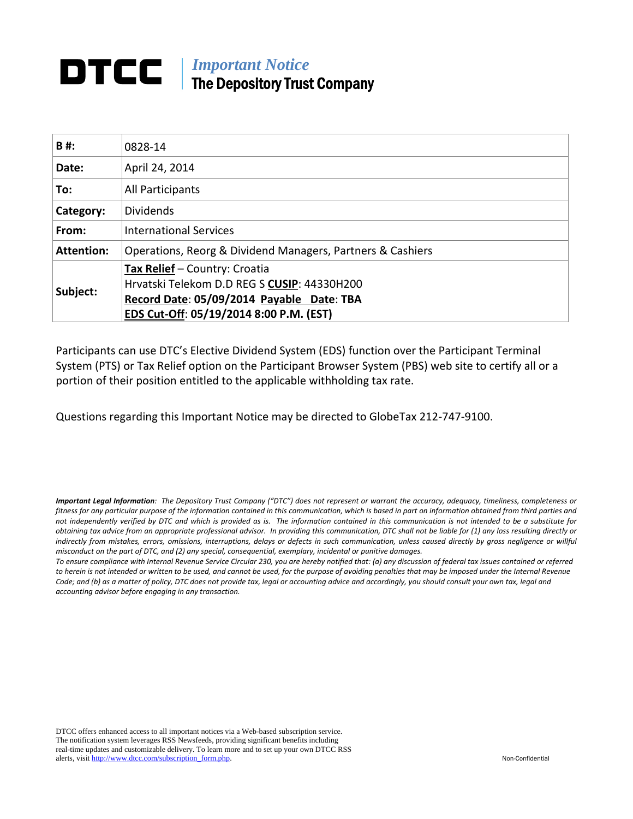# *Important Notice*  The Depository Trust Company

| B#:               | 0828-14                                                    |
|-------------------|------------------------------------------------------------|
| Date:             | April 24, 2014                                             |
| To:               | All Participants                                           |
| Category:         | <b>Dividends</b>                                           |
| From:             | <b>International Services</b>                              |
| <b>Attention:</b> | Operations, Reorg & Dividend Managers, Partners & Cashiers |
|                   | Tax Relief - Country: Croatia                              |
| Subject:          | Hrvatski Telekom D.D REG S CUSIP: 44330H200                |
|                   | Record Date: 05/09/2014 Payable Date: TBA                  |
|                   | EDS Cut-Off: 05/19/2014 8:00 P.M. (EST)                    |

Participants can use DTC's Elective Dividend System (EDS) function over the Participant Terminal System (PTS) or Tax Relief option on the Participant Browser System (PBS) web site to certify all or a portion of their position entitled to the applicable withholding tax rate.

Questions regarding this Important Notice may be directed to GlobeTax 212‐747‐9100.

Important Legal Information: The Depository Trust Company ("DTC") does not represent or warrant the accuracy, adequacy, timeliness, completeness or fitness for any particular purpose of the information contained in this communication, which is based in part on information obtained from third parties and not independently verified by DTC and which is provided as is. The information contained in this communication is not intended to be a substitute for obtaining tax advice from an appropriate professional advisor. In providing this communication, DTC shall not be liable for (1) any loss resulting directly or indirectly from mistakes, errors, omissions, interruptions, delays or defects in such communication, unless caused directly by gross negligence or willful *misconduct on the part of DTC, and (2) any special, consequential, exemplary, incidental or punitive damages.*

To ensure compliance with Internal Revenue Service Circular 230, you are hereby notified that: (a) any discussion of federal tax issues contained or referred to herein is not intended or written to be used, and cannot be used, for the purpose of avoiding penalties that may be imposed under the Internal Revenue Code; and (b) as a matter of policy, DTC does not provide tax, legal or accounting advice and accordingly, you should consult your own tax, legal and *accounting advisor before engaging in any transaction.*

DTCC offers enhanced access to all important notices via a Web-based subscription service. The notification system leverages RSS Newsfeeds, providing significant benefits including real-time updates and customizable delivery. To learn more and to set up your own DTCC RSS alerts, visit http://www.dtcc.com/subscription\_form.php. Non-Confidential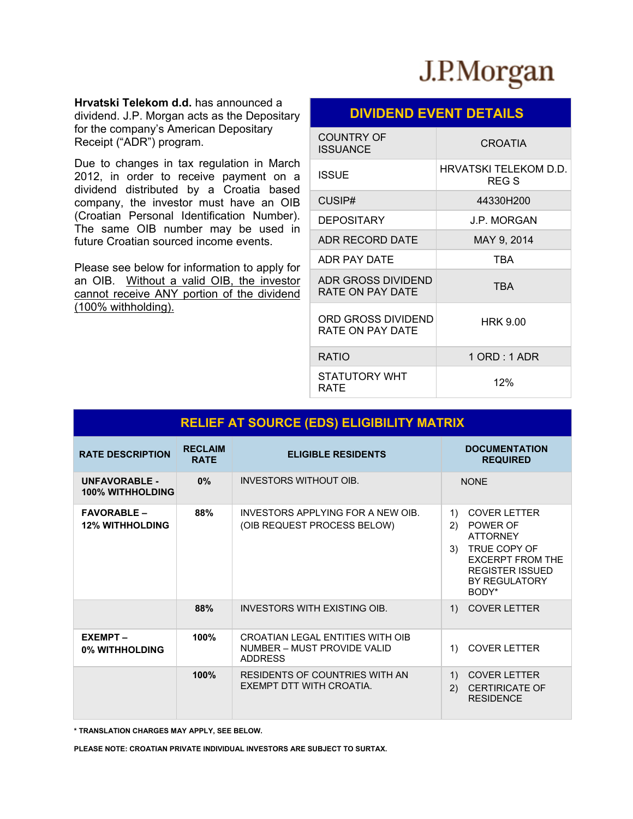

**Hrvatski Telekom d.d.** has announced a dividend. J.P. Morgan acts as the Depositary for the company's American Depositary Receipt ("ADR") program.

Due to changes in tax regulation in March 2012, in order to receive payment on a dividend distributed by a Croatia based company, the investor must have an OIB (Croatian Personal Identification Number). The same OIB number may be used in future Croatian sourced income events.

Please see below for information to apply for an OIB. Without a valid OIB, the investor cannot receive ANY portion of the dividend (100% withholding).

# **DIVIDEND EVENT DETAILS**

| <b>COUNTRY OF</b><br><b>ISSUANCE</b>   | <b>CROATIA</b>                 |
|----------------------------------------|--------------------------------|
| <b>ISSUE</b>                           | HRVATSKI TELEKOM D.D.<br>REG S |
| CUSIP#                                 | 44330H200                      |
| <b>DEPOSITARY</b>                      | J.P. MORGAN                    |
| ADR RECORD DATE                        | MAY 9, 2014                    |
| ADR PAY DATE                           | <b>TBA</b>                     |
| ADR GROSS DIVIDEND<br>RATE ON PAY DATE | TBA                            |
| ORD GROSS DIVIDEND<br>RATE ON PAY DATE | <b>HRK 9.00</b>                |
| <b>RATIO</b>                           | 1 ORD : 1 ADR                  |
| STATUTORY WHT<br>RATE                  | 12%                            |

| <b>RELIEF AT SOURCE (EDS) ELIGIBILITY MATRIX</b> |                               |                                                                                   |                                                                                                                                                                            |  |
|--------------------------------------------------|-------------------------------|-----------------------------------------------------------------------------------|----------------------------------------------------------------------------------------------------------------------------------------------------------------------------|--|
| <b>RATE DESCRIPTION</b>                          | <b>RECLAIM</b><br><b>RATE</b> | <b>ELIGIBLE RESIDENTS</b>                                                         | <b>DOCUMENTATION</b><br><b>REQUIRED</b>                                                                                                                                    |  |
| <b>IINFAVORABI F.</b><br><b>100% WITHHOLDING</b> | 0%                            | INVESTORS WITHOUT OIB.                                                            | <b>NONF</b>                                                                                                                                                                |  |
| <b>FAVORABLE –</b><br><b>12% WITHHOLDING</b>     | 88%                           | INVESTORS APPI YING FOR A NEW OIB.<br>(OIB REQUEST PROCESS BELOW)                 | <b>COVER LETTER</b><br>1)<br>POWER OF<br>2)<br><b>ATTORNEY</b><br>TRUE COPY OF<br>3)<br><b>EXCERPT FROM THE</b><br><b>REGISTER ISSUED</b><br><b>BY REGULATORY</b><br>BODY* |  |
|                                                  | 88%                           | INVESTORS WITH EXISTING OIB.                                                      | <b>COVER LETTER</b><br>1)                                                                                                                                                  |  |
| <b>EXEMPT-</b><br>0% WITHHOLDING                 | 100%                          | CROATIAN LEGAL ENTITIES WITH OIB<br>NUMBER - MUST PROVIDE VALID<br><b>ADDRESS</b> | <b>COVER LETTER</b><br>1)                                                                                                                                                  |  |
|                                                  | 100%                          | <b>RESIDENTS OF COUNTRIES WITH AN</b><br>EXEMPT DTT WITH CROATIA.                 | <b>COVER LETTER</b><br>1)<br><b>CERTIRICATE OF</b><br>(2)<br><b>RESIDENCE</b>                                                                                              |  |

**\* TRANSLATION CHARGES MAY APPLY, SEE BELOW.**

**PLEASE NOTE: CROATIAN PRIVATE INDIVIDUAL INVESTORS ARE SUBJECT TO SURTAX.**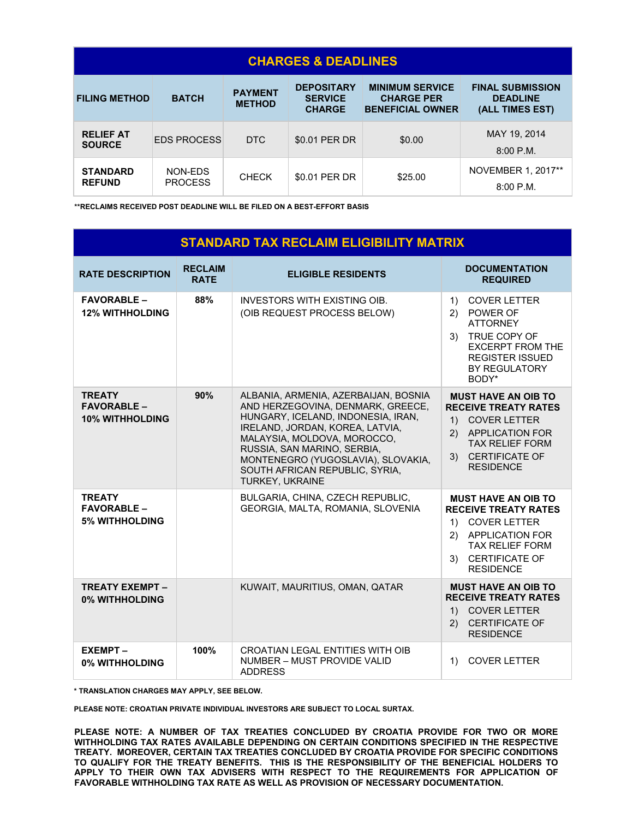| <b>CHARGES &amp; DEADLINES</b>    |                           |                                 |                                                      |                                                                        |                                                               |
|-----------------------------------|---------------------------|---------------------------------|------------------------------------------------------|------------------------------------------------------------------------|---------------------------------------------------------------|
| <b>FILING METHOD</b>              | <b>BATCH</b>              | <b>PAYMENT</b><br><b>METHOD</b> | <b>DEPOSITARY</b><br><b>SERVICE</b><br><b>CHARGE</b> | <b>MINIMUM SERVICE</b><br><b>CHARGE PER</b><br><b>BENEFICIAL OWNER</b> | <b>FINAL SUBMISSION</b><br><b>DEADLINE</b><br>(ALL TIMES EST) |
| <b>RELIEF AT</b><br><b>SOURCE</b> | <b>EDS PROCESS</b>        | D <sub>TC</sub>                 | \$0.01 PER DR                                        | \$0.00                                                                 | MAY 19, 2014<br>$8:00$ P.M.                                   |
| <b>STANDARD</b><br><b>REFUND</b>  | NON-EDS<br><b>PROCESS</b> | <b>CHECK</b>                    | \$0.01 PER DR                                        | \$25.00                                                                | NOVEMBER 1, 2017**<br>$8:00$ P.M.                             |

**\*\*RECLAIMS RECEIVED POST DEADLINE WILL BE FILED ON A BEST-EFFORT BASIS** 

# **STANDARD TAX RECLAIM ELIGIBILITY MATRIX**

| <b>RATE DESCRIPTION</b>                                       | <b>RECLAIM</b><br><b>RATE</b> | <b>ELIGIBLE RESIDENTS</b>                                                                                                                                                                                                                                                                                   | <b>DOCUMENTATION</b><br><b>REQUIRED</b>                                                                                                                                                    |  |
|---------------------------------------------------------------|-------------------------------|-------------------------------------------------------------------------------------------------------------------------------------------------------------------------------------------------------------------------------------------------------------------------------------------------------------|--------------------------------------------------------------------------------------------------------------------------------------------------------------------------------------------|--|
| <b>FAVORABLE -</b><br><b>12% WITHHOLDING</b>                  | 88%                           | <b>INVESTORS WITH EXISTING OIB.</b><br>(OIB REQUEST PROCESS BELOW)                                                                                                                                                                                                                                          | <b>COVER LETTER</b><br>1)<br>POWER OF<br>(2)<br><b>ATTORNEY</b><br>3) TRUE COPY OF<br><b>EXCERPT FROM THE</b><br><b>REGISTER ISSUED</b><br><b>BY REGULATORY</b><br>BODY*                   |  |
| <b>TREATY</b><br><b>FAVORABLE -</b><br><b>10% WITHHOLDING</b> | 90%                           | ALBANIA, ARMENIA, AZERBAIJAN, BOSNIA<br>AND HERZEGOVINA, DENMARK, GREECE,<br>HUNGARY, ICELAND, INDONESIA, IRAN,<br>IRELAND, JORDAN, KOREA, LATVIA,<br>MALAYSIA, MOLDOVA, MOROCCO,<br>RUSSIA, SAN MARINO, SERBIA,<br>MONTENEGRO (YUGOSLAVIA), SLOVAKIA,<br>SOUTH AFRICAN REPUBLIC, SYRIA,<br>TURKEY, UKRAINE | <b>MUST HAVE AN OIB TO</b><br><b>RECEIVE TREATY RATES</b><br>1) COVER LETTER<br>2) APPLICATION FOR<br><b>TAX RELIEF FORM</b><br>3) CERTIFICATE OF<br><b>RESIDENCE</b>                      |  |
| <b>TREATY</b><br><b>FAVORABLE -</b><br><b>5% WITHHOLDING</b>  |                               | <b>BULGARIA, CHINA, CZECH REPUBLIC,</b><br>GEORGIA, MALTA, ROMANIA, SLOVENIA                                                                                                                                                                                                                                | <b>MUST HAVE AN OIB TO</b><br><b>RECEIVE TREATY RATES</b><br><b>COVER LETTER</b><br>1)<br><b>APPLICATION FOR</b><br>(2)<br><b>TAX RELIEF FORM</b><br>3) CERTIFICATE OF<br><b>RESIDENCE</b> |  |
| <b>TREATY EXEMPT-</b><br>0% WITHHOLDING                       |                               | KUWAIT, MAURITIUS, OMAN, QATAR                                                                                                                                                                                                                                                                              | <b>MUST HAVE AN OIB TO</b><br><b>RECEIVE TREATY RATES</b><br>1) COVER LETTER<br><b>CERTIFICATE OF</b><br>(2)<br><b>RESIDENCE</b>                                                           |  |
| <b>EXEMPT-</b><br>0% WITHHOLDING                              | 100%                          | CROATIAN LEGAL ENTITIES WITH OIB<br>NUMBER - MUST PROVIDE VALID<br><b>ADDRESS</b>                                                                                                                                                                                                                           | <b>COVER LETTER</b><br>$\left( \begin{matrix} 1 \end{matrix} \right)$                                                                                                                      |  |

**\* TRANSLATION CHARGES MAY APPLY, SEE BELOW.**

**PLEASE NOTE: CROATIAN PRIVATE INDIVIDUAL INVESTORS ARE SUBJECT TO LOCAL SURTAX.**

**PLEASE NOTE: A NUMBER OF TAX TREATIES CONCLUDED BY CROATIA PROVIDE FOR TWO OR MORE WITHHOLDING TAX RATES AVAILABLE DEPENDING ON CERTAIN CONDITIONS SPECIFIED IN THE RESPECTIVE TREATY. MOREOVER, CERTAIN TAX TREATIES CONCLUDED BY CROATIA PROVIDE FOR SPECIFIC CONDITIONS TO QUALIFY FOR THE TREATY BENEFITS. THIS IS THE RESPONSIBILITY OF THE BENEFICIAL HOLDERS TO APPLY TO THEIR OWN TAX ADVISERS WITH RESPECT TO THE REQUIREMENTS FOR APPLICATION OF FAVORABLE WITHHOLDING TAX RATE AS WELL AS PROVISION OF NECESSARY DOCUMENTATION.**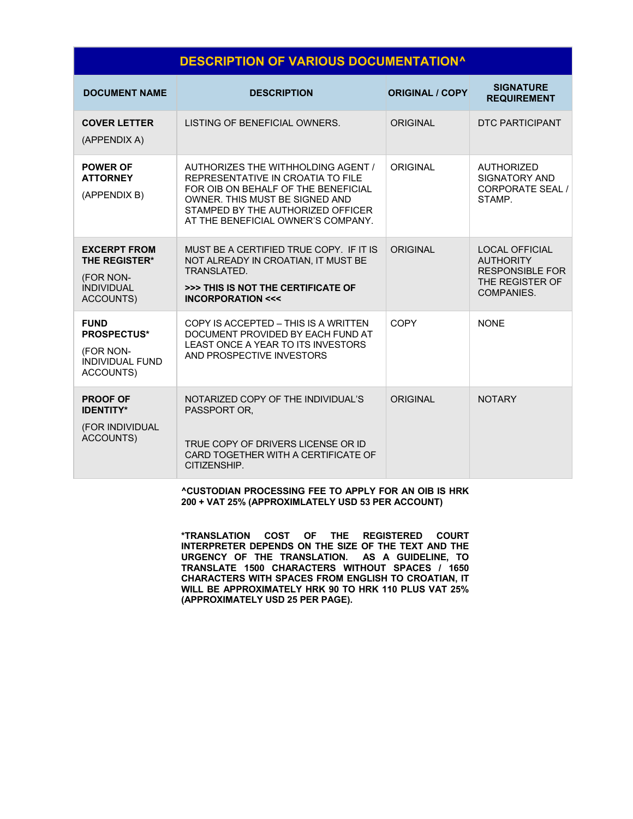# **DESCRIPTION OF VARIOUS DOCUMENTATION^**

| <b>DOCUMENT NAME</b>                                                                       | <b>DESCRIPTION</b>                                                                                                                                                                                                          | <b>ORIGINAL / COPY</b> | <b>SIGNATURE</b><br><b>REQUIREMENT</b>                                                               |
|--------------------------------------------------------------------------------------------|-----------------------------------------------------------------------------------------------------------------------------------------------------------------------------------------------------------------------------|------------------------|------------------------------------------------------------------------------------------------------|
| <b>COVER LETTER</b><br>(APPENDIX A)                                                        | LISTING OF BENEFICIAL OWNERS.                                                                                                                                                                                               | ORIGINAL               | <b>DTC PARTICIPANT</b>                                                                               |
| <b>POWER OF</b><br><b>ATTORNEY</b><br>(APPENDIX B)                                         | AUTHORIZES THE WITHHOLDING AGENT /<br>REPRESENTATIVE IN CROATIA TO FILE<br>FOR OIB ON BEHALF OF THE BENEFICIAL<br>OWNER. THIS MUST BE SIGNED AND<br>STAMPED BY THE AUTHORIZED OFFICER<br>AT THE BENEFICIAL OWNER'S COMPANY. | ORIGINAL               | <b>AUTHORIZED</b><br><b>SIGNATORY AND</b><br><b>CORPORATE SEAL /</b><br><b>STAMP</b>                 |
| <b>EXCERPT FROM</b><br><b>THE REGISTER*</b><br>(FOR NON-<br><b>INDIVIDUAL</b><br>ACCOUNTS) | MUST BE A CERTIFIED TRUE COPY. IF IT IS<br>NOT ALREADY IN CROATIAN, IT MUST BE<br>TRANSLATED.<br>>>> THIS IS NOT THE CERTIFICATE OF<br><b>INCORPORATION &lt;&lt;&lt;</b>                                                    | ORIGINAL               | <b>LOCAL OFFICIAL</b><br><b>AUTHORITY</b><br><b>RESPONSIBLE FOR</b><br>THE REGISTER OF<br>COMPANIES. |
| <b>FUND</b><br><b>PROSPECTUS*</b><br>(FOR NON-<br><b>INDIVIDUAL FUND</b><br>ACCOUNTS)      | COPY IS ACCEPTED - THIS IS A WRITTEN<br>DOCUMENT PROVIDED BY EACH FUND AT<br>LEAST ONCE A YEAR TO ITS INVESTORS<br>AND PROSPECTIVE INVESTORS                                                                                | COPY                   | <b>NONE</b>                                                                                          |
| <b>PROOF OF</b><br><b>IDENTITY*</b><br>(FOR INDIVIDUAL<br><b>ACCOUNTS)</b>                 | NOTARIZED COPY OF THE INDIVIDUAL'S<br>PASSPORT OR.<br>TRUE COPY OF DRIVERS LICENSE OR ID<br>CARD TOGETHER WITH A CERTIFICATE OF<br>CITIZENSHIP.                                                                             | ORIGINAL               | <b>NOTARY</b>                                                                                        |

**^CUSTODIAN PROCESSING FEE TO APPLY FOR AN OIB IS HRK 200 + VAT 25% (APPROXIMLATELY USD 53 PER ACCOUNT)** 

**\*TRANSLATION COST OF THE REGISTERED COURT INTERPRETER DEPENDS ON THE SIZE OF THE TEXT AND THE URGENCY OF THE TRANSLATION. AS A GUIDELINE, TO TRANSLATE 1500 CHARACTERS WITHOUT SPACES / 1650 CHARACTERS WITH SPACES FROM ENGLISH TO CROATIAN, IT WILL BE APPROXIMATELY HRK 90 TO HRK 110 PLUS VAT 25% (APPROXIMATELY USD 25 PER PAGE).**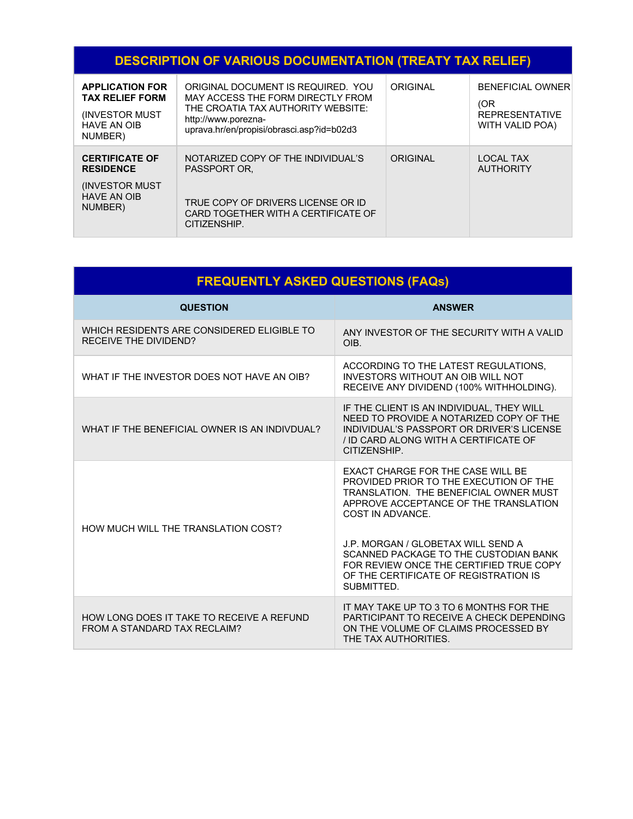# **DESCRIPTION OF VARIOUS DOCUMENTATION (TREATY TAX RELIEF)**

| <b>APPLICATION FOR</b><br><b>TAX RELIEF FORM</b><br>(INVESTOR MUST)<br><b>HAVE AN OIB</b><br>NUMBER) | ORIGINAL DOCUMENT IS REQUIRED. YOU<br>MAY ACCESS THE FORM DIRECTLY FROM<br>THE CROATIA TAX AUTHORITY WEBSITE:<br>http://www.porezna-<br>uprava.hr/en/propisi/obrasci.asp?id=b02d3 | ORIGINAL | <b>BENEFICIAL OWNER</b><br>(OR<br><b>REPRESENTATIVE</b><br>WITH VALID POA) |
|------------------------------------------------------------------------------------------------------|-----------------------------------------------------------------------------------------------------------------------------------------------------------------------------------|----------|----------------------------------------------------------------------------|
| <b>CERTIFICATE OF</b><br><b>RESIDENCE</b>                                                            | NOTARIZED COPY OF THE INDIVIDUAL'S<br>PASSPORT OR.                                                                                                                                | ORIGINAL | <b>LOCAL TAX</b><br><b>AUTHORITY</b>                                       |
| <b>INVESTOR MUST</b><br><b>HAVE AN OIB</b><br>NUMBER)                                                | TRUE COPY OF DRIVERS LICENSE OR ID<br>CARD TOGETHER WITH A CERTIFICATE OF<br>CITIZENSHIP.                                                                                         |          |                                                                            |

| <b>FREQUENTLY ASKED QUESTIONS (FAQs)</b>                                   |                                                                                                                                                                                                                                                                                                                                                                            |  |  |
|----------------------------------------------------------------------------|----------------------------------------------------------------------------------------------------------------------------------------------------------------------------------------------------------------------------------------------------------------------------------------------------------------------------------------------------------------------------|--|--|
| <b>QUESTION</b>                                                            | <b>ANSWER</b>                                                                                                                                                                                                                                                                                                                                                              |  |  |
| WHICH RESIDENTS ARE CONSIDERED ELIGIBLE TO<br><b>RECEIVE THE DIVIDEND?</b> | ANY INVESTOR OF THE SECURITY WITH A VALID<br>OIB.                                                                                                                                                                                                                                                                                                                          |  |  |
| WHAT IF THE INVESTOR DOES NOT HAVE AN OIB?                                 | ACCORDING TO THE LATEST REGULATIONS.<br>INVESTORS WITHOUT AN OIB WILL NOT<br>RECEIVE ANY DIVIDEND (100% WITHHOLDING).                                                                                                                                                                                                                                                      |  |  |
| WHAT IF THE BENEFICIAL OWNER IS AN INDIVDUAL?                              | IF THE CLIENT IS AN INDIVIDUAL, THEY WILL<br>NEED TO PROVIDE A NOTARIZED COPY OF THE<br>INDIVIDUAL'S PASSPORT OR DRIVER'S LICENSE<br>/ ID CARD ALONG WITH A CERTIFICATE OF<br>CITIZENSHIP.                                                                                                                                                                                 |  |  |
| HOW MUCH WILL THE TRANSLATION COST?                                        | EXACT CHARGE FOR THE CASE WILL BE<br>PROVIDED PRIOR TO THE EXECUTION OF THE<br><b>TRANSLATION. THE BENEFICIAL OWNER MUST</b><br>APPROVE ACCEPTANCE OF THE TRANSLATION<br>COST IN ADVANCE.<br>J.P. MORGAN / GLOBETAX WILL SEND A<br>SCANNED PACKAGE TO THE CUSTODIAN BANK<br>FOR REVIEW ONCE THE CERTIFIED TRUE COPY<br>OF THE CERTIFICATE OF REGISTRATION IS<br>SUBMITTED. |  |  |
| HOW LONG DOES IT TAKE TO RECEIVE A REFUND<br>FROM A STANDARD TAX RECLAIM?  | IT MAY TAKE UP TO 3 TO 6 MONTHS FOR THE<br>PARTICIPANT TO RECEIVE A CHECK DEPENDING<br>ON THE VOLUME OF CLAIMS PROCESSED BY<br>THE TAX AUTHORITIES.                                                                                                                                                                                                                        |  |  |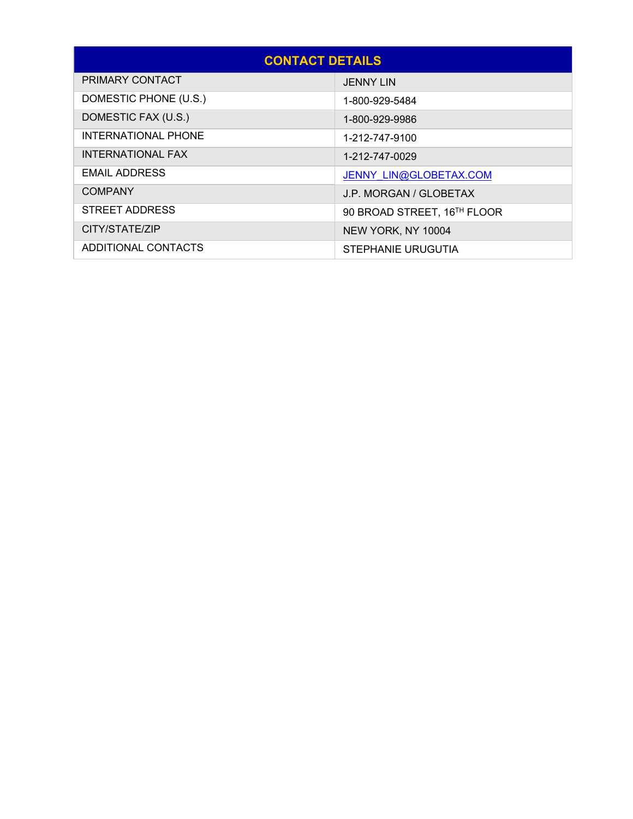| <b>CONTACT DETAILS</b>     |                             |  |  |
|----------------------------|-----------------------------|--|--|
| PRIMARY CONTACT            | <b>JENNY LIN</b>            |  |  |
| DOMESTIC PHONE (U.S.)      | 1-800-929-5484              |  |  |
| DOMESTIC FAX (U.S.)        | 1-800-929-9986              |  |  |
| <b>INTERNATIONAL PHONE</b> | 1-212-747-9100              |  |  |
| <b>INTERNATIONAL FAX</b>   | 1-212-747-0029              |  |  |
| <b>EMAIL ADDRESS</b>       | JENNY LIN@GLOBETAX.COM      |  |  |
| <b>COMPANY</b>             | J.P. MORGAN / GLOBETAX      |  |  |
| STREET ADDRESS             | 90 BROAD STREET, 16TH FLOOR |  |  |
| CITY/STATE/ZIP             | NEW YORK, NY 10004          |  |  |
| ADDITIONAL CONTACTS        | STEPHANIE URUGUTIA          |  |  |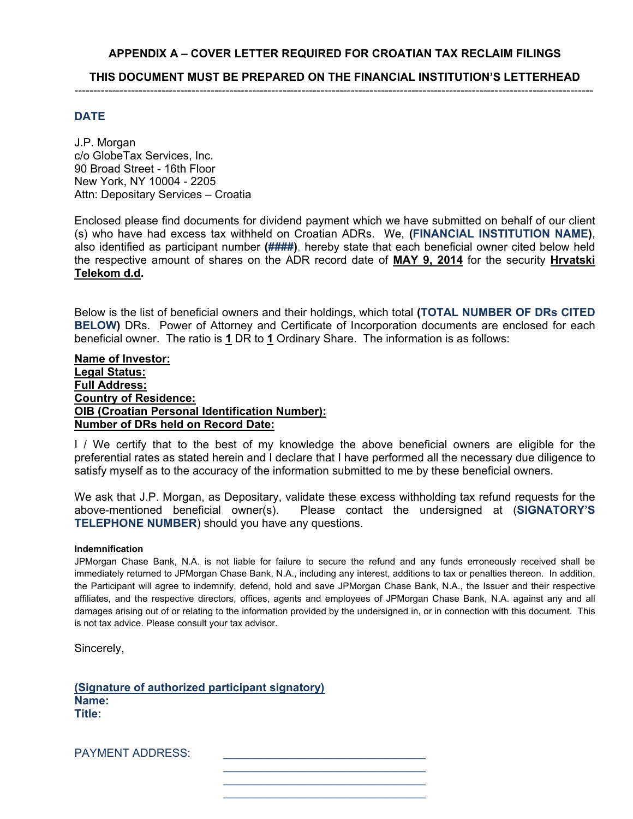# **APPENDIX A – COVER LETTER REQUIRED FOR CROATIAN TAX RECLAIM FILINGS**

**THIS DOCUMENT MUST BE PREPARED ON THE FINANCIAL INSTITUTION'S LETTERHEAD** -----------------------------------------------------------------------------------------------------------------------------------------

### **DATE**

J.P. Morgan c/o GlobeTax Services, Inc. 90 Broad Street - 16th Floor New York, NY 10004 - 2205 Attn: Depositary Services – Croatia

Enclosed please find documents for dividend payment which we have submitted on behalf of our client (s) who have had excess tax withheld on Croatian ADRs. We, **(FINANCIAL INSTITUTION NAME)**, also identified as participant number **(####)**, hereby state that each beneficial owner cited below held the respective amount of shares on the ADR record date of **MAY 9, 2014** for the security **Hrvatski Telekom d.d.**

Below is the list of beneficial owners and their holdings, which total **(TOTAL NUMBER OF DRs CITED BELOW)** DRs. Power of Attorney and Certificate of Incorporation documents are enclosed for each beneficial owner. The ratio is **1** DR to **1** Ordinary Share. The information is as follows:

### **Name of Investor: Legal Status: Full Address: Country of Residence: OIB (Croatian Personal Identification Number): Number of DRs held on Record Date:**

I / We certify that to the best of my knowledge the above beneficial owners are eligible for the preferential rates as stated herein and I declare that I have performed all the necessary due diligence to satisfy myself as to the accuracy of the information submitted to me by these beneficial owners.

We ask that J.P. Morgan, as Depositary, validate these excess withholding tax refund requests for the above-mentioned beneficial owner(s). Please contact the undersigned at (**SIGNATORY'S TELEPHONE NUMBER**) should you have any questions.

#### **Indemnification**

JPMorgan Chase Bank, N.A. is not liable for failure to secure the refund and any funds erroneously received shall be immediately returned to JPMorgan Chase Bank, N.A., including any interest, additions to tax or penalties thereon. In addition, the Participant will agree to indemnify, defend, hold and save JPMorgan Chase Bank, N.A., the Issuer and their respective affiliates, and the respective directors, offices, agents and employees of JPMorgan Chase Bank, N.A. against any and all damages arising out of or relating to the information provided by the undersigned in, or in connection with this document. This is not tax advice. Please consult your tax advisor.

Sincerely,

**(Signature of authorized participant signatory) Name: Title:** 

 $\mathcal{L}_\mathcal{L}$  , and the contract of the contract of the contract of the contract of the contract of the contract of the contract of the contract of the contract of the contract of the contract of the contract of the cont  $\mathcal{L}_\mathcal{L}$  , and the contract of the contract of the contract of the contract of the contract of the contract of the contract of the contract of the contract of the contract of the contract of the contract of the cont

PAYMENT ADDRESS: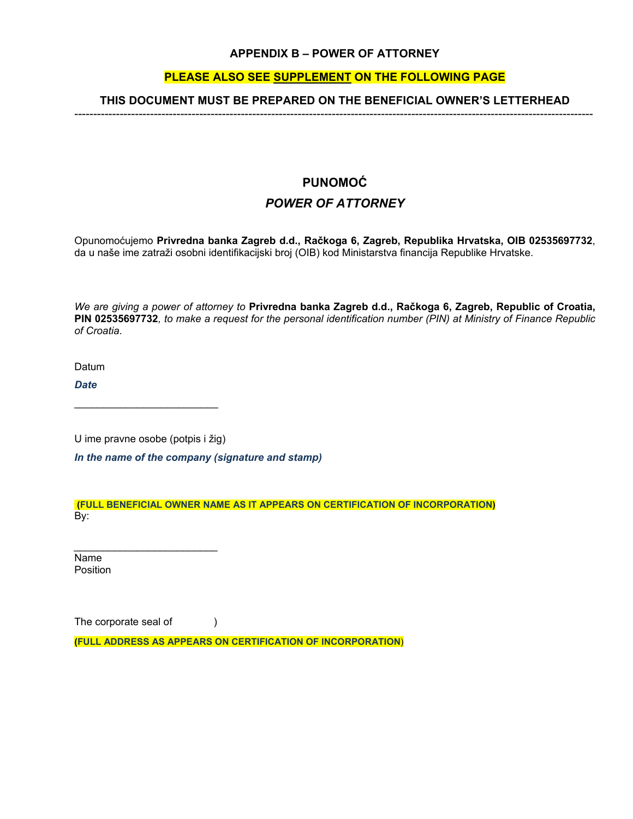# **APPENDIX B – POWER OF ATTORNEY**

# **PLEASE ALSO SEE SUPPLEMENT ON THE FOLLOWING PAGE**

#### **THIS DOCUMENT MUST BE PREPARED ON THE BENEFICIAL OWNER'S LETTERHEAD** -----------------------------------------------------------------------------------------------------------------------------------------

# **PUNOMOĆ**  *POWER OF ATTORNEY*

Opunomoćujemo **Privredna banka Zagreb d.d., Račkoga 6, Zagreb, Republika Hrvatska, OIB 02535697732**, da u naše ime zatraži osobni identifikacijski broj (OIB) kod Ministarstva financija Republike Hrvatske.

*We are giving a power of attorney to* **Privredna banka Zagreb d.d., Račkoga 6, Zagreb, Republic of Croatia, PIN 02535697732***, to make a request for the personal identification number (PIN) at Ministry of Finance Republic of Croatia*.

Datum

*Date* 

U ime pravne osobe (potpis i žig) *In the name of the company (signature and stamp)* 

 $\mathcal{L}_\text{max}$  , where  $\mathcal{L}_\text{max}$  and  $\mathcal{L}_\text{max}$ 

*\_\_\_\_\_\_\_\_\_\_\_\_\_\_\_\_\_\_\_\_\_\_\_\_\_*

 **(FULL BENEFICIAL OWNER NAME AS IT APPEARS ON CERTIFICATION OF INCORPORATION)** By:

Name Position

The corporate seal of (a) **(FULL ADDRESS AS APPEARS ON CERTIFICATION OF INCORPORATION**)